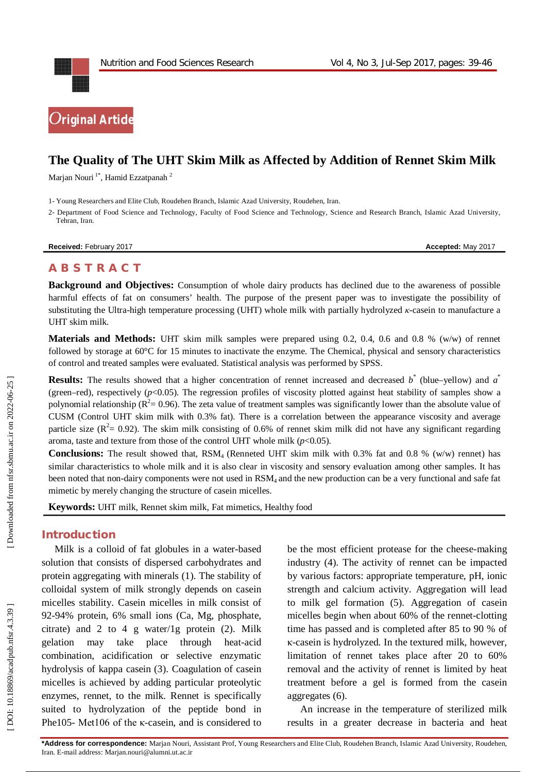



# **The Quality of The UHT Skim Milk as Affected by Addition of Rennet Skim Milk**

Marjan Nouri<sup>1\*</sup>, Hamid Ezzatpanah <sup>2</sup>

1 - Young Researchers and Elite Club, Roudehen Branch, Islamic Azad University, Roudehen, Iran.

2 - Department of Food Science and Technology, Faculty of Food Science and Technology, Science and Research Branch, Islamic Azad University, Tehran, Iran.

**Received:** February 2017 **Accepted:** May 2017

# **A B S T R A C T**

**Background and Objectives:** Consumption of whole dairy products has declined due to the awareness of possible harmful effects of fat on consumers' health. The purpose of the present paper was to investigate the possibility of substituting the Ultra-high temperature processing (UHT) whole milk with partially hydrolyzed *κ*-casein to manufacture a UHT skim milk.

**Materials and Methods:** UHT skim milk samples were prepared using 0.2, 0.4, 0.6 and 0.8 % (w/w) of rennet followed by storage at 60°C for 15 minutes to inactivate the enzyme. The Chemical, physical and sensory characteristics of control and treated samples were evaluated. Statistical analysis was performed by SPSS.

**Results:** The results showed that a higher concentration of rennet increased and decreased  $b^*$  (blue–yellow) and  $a^*$ (green–red), respectively  $(p<0.05)$ . The regression profiles of viscosity plotted against heat stability of samples show a polynomial relationship ( $R^2$  = 0.96). The zeta value of treatment samples was significantly lower than the absolute value of CUSM (Control UHT skim milk with 0.3% fat). There is a correlation between the appearance viscosity and average particle size ( $\mathbb{R}^2 = 0.92$ ). The skim milk consisting of 0.6% of rennet skim milk did not have any significant regarding aroma, taste and texture from those of the control UHT whole milk  $(p<0.05)$ .

**Conclusions:** The result showed that, RSM<sub>4</sub> (Renneted UHT skim milk with 0.3% fat and 0.8 % (w/w) rennet) has similar characteristics to whole milk and it is also clear in viscosity and sensory evaluation among other samples. It has been noted that non-dairy components were not used in RSM<sub>4</sub> and the new production can be a very functional and safe fat mimetic by merely changing the structure of casein micelles.

**Keywords:** UHT milk, Rennet skim milk, Fat mimetics, Healthy food

# **Introduction**

Milk is a colloid of fat globules in a water -based solution that consists of dispersed carbohydrates and protein aggregating with minerals (1). The stability of colloidal system of milk strongly depends on casein micelles stability. Casein micelles in milk consist of 92 -94% protein, 6% small ions (Ca, Mg, phosphate, citrate) and 2 to 4 g water/1g protein  $(2)$ . Milk gelation may take place through heat-acid combination, acidification or selective enzymatic hydrolysis of kappa casein (3). Coagulation of casein micelles is achieved by adding particular proteolytic enzymes, rennet, to the milk. Rennet is specifically suited to hydrolyzation of the peptide bond in Phe105- Met106 of the κ-casein, and is considered to

be the most efficient protease for the cheese -making industry (4). The activity of rennet can be impacted by various factors: appropriate temperature, pH, ionic strength and calcium activity. Aggregation will lead to milk gel formation (5). Aggregation of casein micelles begin when about 60% of the rennet -clotting time has passed and is completed after 85 to 90 % of κ-casein is hydrolyzed. In the textured milk, however, limitation of rennet takes place after 20 to 60% removal and the activity of rennet is limited by heat treatment before a gel is formed from the casein aggregates (6).

An increase in the temperature of sterilized milk results in a greater decrease in bacteria and heat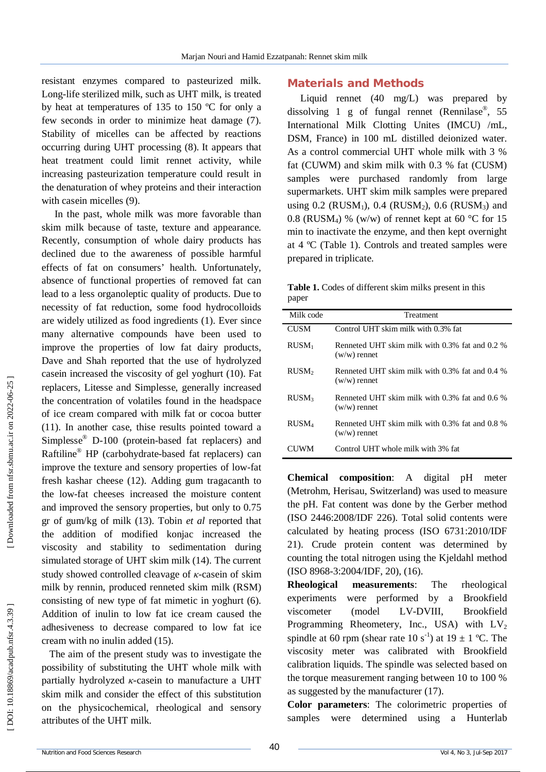resistant enzymes compared to pasteurized milk. Long -life sterilized milk, such as UHT milk, is treated by heat at temperatures of 135 to 150 ºC for only a few seconds in order to minimize heat damage (7). Stability of micelles can be affected by reactions occurring during UHT processing (8). It appears that heat treatment could limit rennet activity, while increasing pasteurization temperature could result in the denaturation of whey proteins and their interaction with casein micelles (9).

In the past, whole milk was more favorable than skim milk because of taste, texture and appearance. Recently, consumption of whole dairy products has declined due to the awareness of possible harmful effects of fat on consumers' health. Unfortunately, absence of functional properties of removed fat can lead to a less organoleptic quality of products. Due to necessity of fat reduction, some food hydrocolloids are widely utilized as food ingredients (1). Ever since many alternative compounds have been used to improve the properties of low fat dairy products, Dave and Shah reported that the use of hydrolyzed casein increased the viscosity of gel yoghurt (10). Fat replacers, Litesse and Simplesse, generally increased the concentration of volatiles found in the headspace of ice cream compared with milk fat or cocoa butter (11). In another case, thise results pointed toward a Simplesse ® D -100 (protein -based fat replacers) and Raftiline ® HP (carbohydrate -based fat replacers) can improve the texture and sensory properties of low -fat fresh kashar cheese (12). Adding gum tragacanth to the low -fat cheeses increased the moisture content and improved the sensory properties, but only to 0.75 gr of gum/kg of milk (13). Tobin *et al* reported that the addition of modified konjac increased the viscosity and stability to sedimentation during simulated storage of UHT skim milk (14). The current study showed controlled cleavage of *κ* -casein of skim milk by rennin, produced renneted skim milk (RSM) consisting of new type of fat mimetic in yoghurt (6). Addition of inulin to low fat ice cream caused the adhesiveness to decrease compared to low fat ice cream with no inulin added (15).

The aim of the present study was to investigate the possibility of substituting the UHT whole milk with partially hydrolyzed *κ* -casein to manufacture a UHT skim milk and consider the effect of this substitution on the physicochemical, rheological and sensory attributes of the UHT milk.

### **Materials and Methods**

Liquid rennet (40 mg/L) was prepared by dissolving 1 g of fungal rennet (Rennilase ® , 55 International Milk Clotting Unites (IMCU) /mL, DSM, France) in 100 mL distilled deionized water. As a control commercial UHT whole milk with 3 % fat (CUWM) and skim milk with 0.3 % fat (CUSM) samples were purchased randomly from large supermarkets. UHT skim milk samples were prepared using  $0.2$  (RUSM<sub>1</sub>),  $0.4$  (RUSM<sub>2</sub>),  $0.6$  (RUSM<sub>3</sub>) and 0.8 (RUSM<sub>4</sub>) % (w/w) of rennet kept at 60 °C for 15 min to inactivate the enzyme, and then kept overnight at 4 ºC (Table 1). Controls and treated samples were prepared in triplicate.

**Table 1.** Codes of different skim milks present in this paper

| Milk code         | Treatment                                                        |
|-------------------|------------------------------------------------------------------|
| <b>CUSM</b>       | Control UHT skim milk with 0.3% fat                              |
| $RUSM_1$          | Renneted UHT skim milk with 0.3% fat and 0.2 %<br>$(w/w)$ rennet |
| RUSM <sub>2</sub> | Renneted UHT skim milk with 0.3% fat and 0.4 %<br>$(w/w)$ rennet |
| RUSM <sub>3</sub> | Renneted UHT skim milk with 0.3% fat and 0.6 %<br>$(w/w)$ rennet |
| RUSM <sub>4</sub> | Renneted UHT skim milk with 0.3% fat and 0.8 %<br>$(w/w)$ rennet |
|                   | Control UHT whole milk with 3% fat                               |

**Chemical composition**: A digital pH meter (Metrohm, Herisau, Switzerland) was used to measure the pH . Fat content was done by the Gerber method (ISO 2446:2008/IDF 226). Total solid contents were calculated by heating process (ISO 6731:2010/IDF 21). Crude protein content was determined by counting the total nitrogen using the Kjeldahl method (ISO 8968 -3:2004/IDF, 20), (16).

**Rheological measurements**: The rheological experiments were performed by a Brookfield viscometer (model LV-DVIII, Brookfield Programming Rheometery, Inc., USA) with  $LV_2$ spindle at 60 rpm (shear rate 10 s<sup>-1</sup>) at 19  $\pm$  1 °C. The viscosity meter was calibrated with Brookfield calibration liquids. The spindle was selected based on the torque measurement ranging between 10 to 100 % as suggested by the manufacturer (17).

**Color parameters**: The colorimetric properties of samples were determined using a Hunterlab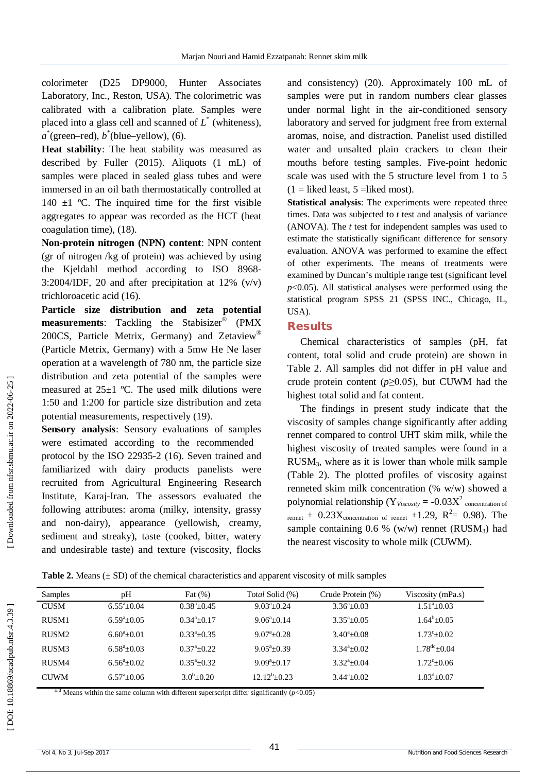colorimeter (D25 DP9000, Hunter Associates Laboratory, Inc., Reston, USA). The colorimetric was calibrated with a calibration plate. Samples were placed into a glass cell and scanned of *L* \* (whiteness),  $a^*$ (green–red),  $b^*$ (blue–yellow), (6).

**Heat stability**: The heat stability was measured as described by Fuller (2015). Aliquots (1 mL) of samples were placed in sealed glass tubes and were immersed in an oil bath thermostatically controlled at 140  $\pm$ 1 °C. The inquired time for the first visible aggregates to appear was recorded as the HCT (heat coagulation time), (18).

**Non -protein nitrogen (NPN) content**: NPN content (gr of nitrogen /kg of protein) was achieved by using the Kjeldahl method according to ISO 8968 - 3:2004/IDF, 20 and after precipitation at 12%  $(v/v)$ trichloroacetic acid (16).

**Particle size distribution and zeta potential measurements**: Tackling the Stabisizer ® (PMX 200CS, Particle Metrix, Germany) and Zetaview ® (Particle Metrix, Germany) with a 5mw He Ne laser operation at a wavelength of 780 nm, the particle size distribution and zeta potential of the samples were measured at  $25+1$  °C. The used milk dilutions were 1:50 and 1:200 for particle size distribution and zeta potential measurements, respectively (19).

**Sensory analysis**: Sensory evaluations of samples were estimated according to the recommended protocol by the ISO 22935 -2 (16). Seven trained and familiarized with dairy products panelists were recruited from Agricultural Engineering Research Institute, Karaj -Iran. The assessors evaluated the following attributes: aroma (milky, intensity, grassy and non -dairy), appearance (yellowish, creamy, sediment and streaky), taste (cooked, bitter, watery and undesirable taste) and texture (viscosity, flocks

and consistency) (20). Approximately 100 mL of samples were put in random numbers clear glasses under normal light in the air -conditioned sensory laboratory and served for judgment free from external aromas, noise, and distraction. Panelist used distilled water and unsalted plain crackers to clean their mouths before testing samples. Five -point hedonic scale was used with the 5 structure level from 1 to 5  $(1 =$  liked least, 5 = liked most).

**Statistical analysis**: The experiments were repeated three times. Data was subjected to *t* test and analysis of variance (ANOVA). The *t* test for independent samples was used to estimate the statistically significant difference for sensory evaluation. ANOVA was performed to examine the effect of other experiments. The means of treatments were examined by Duncan's multiple range test (significant level  $p<0.05$ ). All statistical analyses were performed using the statistical program SPSS 21 (SPSS INC., Chicago, IL, USA).

#### **Results**

Chemical characteristics of samples (pH, fat content, total solid and crude protein) are shown in Table 2. All samples did not differ in pH value and crude protein content ( $p \ge 0.05$ ), but CUWM had the highest total solid and fat content.

The findings in present study indicate that the viscosity of samples change significantly after adding rennet compared to control UHT skim milk, while the highest viscosity of treated samples were found in a RUSM <sup>3</sup>, where as it is lower than whole milk sample (Table 2). The plotted profiles of viscosity against renneted skim milk concentration (% w/w) showed a polynomial relationship ( $Y_{\text{Viscosity}} = -0.03X^2$  concentration of rennet +  $0.23X_{concentration\ of\ remnet}$  +1.29,  $R^2 = 0.98$ ). The sample containing  $0.6 %$  (w/w) rennet (RUSM<sub>3</sub>) had the nearest viscosity to whole milk (CUWM).

**Table 2.** Means  $(\pm SD)$  of the chemical characteristics and apparent viscosity of milk samples

| Samples           | pH                  | Fat $(\%)$           | Total Solid (%)     | Crude Protein (%)    | Viscosity (mPa.s)         |
|-------------------|---------------------|----------------------|---------------------|----------------------|---------------------------|
| <b>CUSM</b>       | $6.55^{\circ}+0.04$ | $0.38^{\circ}+0.45$  | $9.03^{\circ}+0.24$ | $3.36^{\circ}+0.03$  | $1.51^{\circ}+0.03$       |
| RUSM1             | $6.59^{\circ}+0.05$ | $0.34^a + 0.17$      | $9.06^{\circ}+0.14$ | $3.35^{\circ}+0.05$  | $1.64^b + 0.05$           |
| RUSM <sub>2</sub> | $6.60^{a} + 0.01$   | $0.33^{\circ}+0.35$  | $9.07^{\circ}+0.28$ | $3.40^{\circ}$ +0.08 | $1.73^{\circ}+0.02$       |
| RUSM3             | $6.58^{\circ}+0.03$ | $0.37^{a}+0.22$      | $9.05^{\circ}+0.39$ | $3.34^{\circ}+0.02$  | $1.78^{\text{dc}} + 0.04$ |
| RUSM4             | $6.56^{\circ}+0.02$ | $0.35^{\circ}+0.32$  | $9.09^a + 0.17$     | $3.32^{\circ}+0.04$  | $1.72^{\circ}+0.06$       |
| <b>CUWM</b>       | $6.57^{\circ}+0.06$ | $3.0^{\rm b} + 0.20$ | $12.12^b + 0.23$    | $3.44^{\circ}+0.02$  | $1.83^{\text{d}} + 0.07$  |

<sup>a, d</sup> Means within the same column with different superscript differ significantly  $(p<0.05)$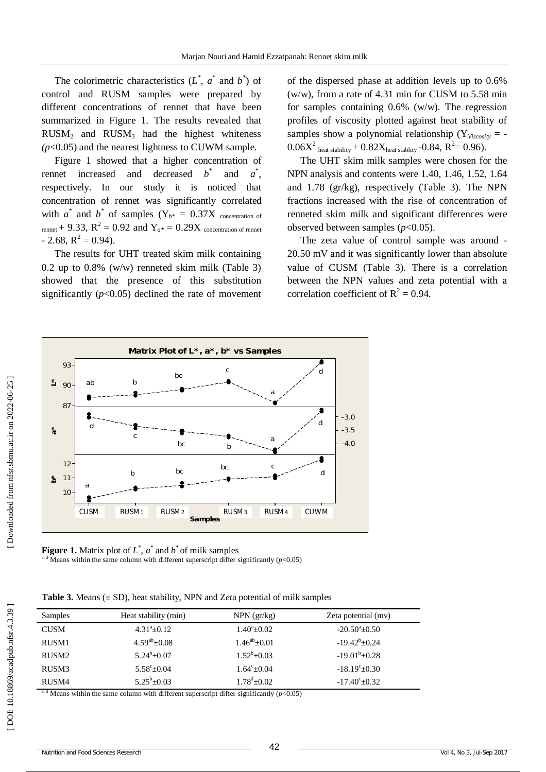The colorimetric characteristics  $(L^*, a^*$  and  $b^*)$  of control and RUSM samples were prepared by different concentrations of rennet that have been summarized in Figure 1. The results revealed that  $RUSM<sub>2</sub>$  and  $RUSM<sub>3</sub>$  had the highest whiteness *(p*<0.05) and the nearest lightness to CUWM sample.

Figure 1 showed that a higher concentration of rennet increased and decreased *b* \* and  $a^*$ , respectively. In our study it is noticed that concentration of rennet was significantly correlated with  $a^*$  and  $b^*$  of samples  $(Y_{b^*} = 0.37X)$  concentration of  $r_{\text{rennet}}$  + 9.33,  $R^2$  = 0.92 and  $Y_{a^*}$  = 0.29X concentration of rennet  $-2.68$ ,  $R^2 = 0.94$ ).

The results for UHT treated skim milk containing 0.2 up to 0.8% (w/w) renneted skim milk (Table 3) showed that the presence of this substitution significantly  $(p<0.05)$  declined the rate of movement of the dispersed phase at addition levels up to 0.6% (w/w), from a rate of 4.31 min for CUSM to 5.58 min for samples containing  $0.6\%$  (w/w). The regression profiles of viscosity plotted against heat stability of samples show a polynomial relationship ( $Y_{Viscosity}$  = - $0.06X^2$  heat stability +  $0.82X$ heat stablity - $0.84$ ,  $R^2 = 0.96$ ).

The UHT skim milk samples were chosen for the NPN analysis and contents were 1.40, 1.46, 1.52, 1.64 and 1.78 (gr/kg), respectively (Table 3). The NPN fractions increased with the rise of concentration of renneted skim milk and significant differences were observed between samples (*p*<0.05).

The zeta value of control sample was around - 20.50 mV and it was significantly lower than absolute value of CUSM (Table 3). There is a correlation between the NPN values and zeta potential with a correlation coefficient of  $R^2 = 0.94$ .



**Figure 1.** Matrix plot of  $L^*$ ,  $a^*$  and  $b^*$  of milk samples <sup>a, d</sup> Means within the same column with different superscript differ significantly ( $p$ <0.05)

**Table 3.** Means (± SD), heat stability, NPN and Z*et*a potential of milk samples

| Samples           | Heat stability (min) | $NPN$ (gr/kg)         | Zeta potential (mv)       |
|-------------------|----------------------|-----------------------|---------------------------|
| <b>CUSM</b>       | $4.31^a \pm 0.12$    | $1.40^{\circ}$ ± 0.02 | $-20.50^{\circ}$ ±0.50    |
| RUSM1             | $4.59^{ab}$ ± 0.08   | $1.46^{ab} \pm 0.01$  | $-19.42^b \pm 0.24$       |
| RUSM <sub>2</sub> | $5.24^b \pm 0.07$    | $1.52^b \pm 0.03$     | $-19.01^b \pm 0.28$       |
| RUSM3             | $5.58^{\circ}$ ±0.04 | $1.64^{\circ}$ ±0.04  | $-18.19^{\circ} \pm 0.30$ |
| RUSM4             | $5.25^b \pm 0.03$    | $1.78^{\rm d}$ ±0.02  | $-17.40^{\circ}$ ± 0.32   |

<sup>d</sup> Means within the same column with different superscript differ significantly ( $p$ <0.05)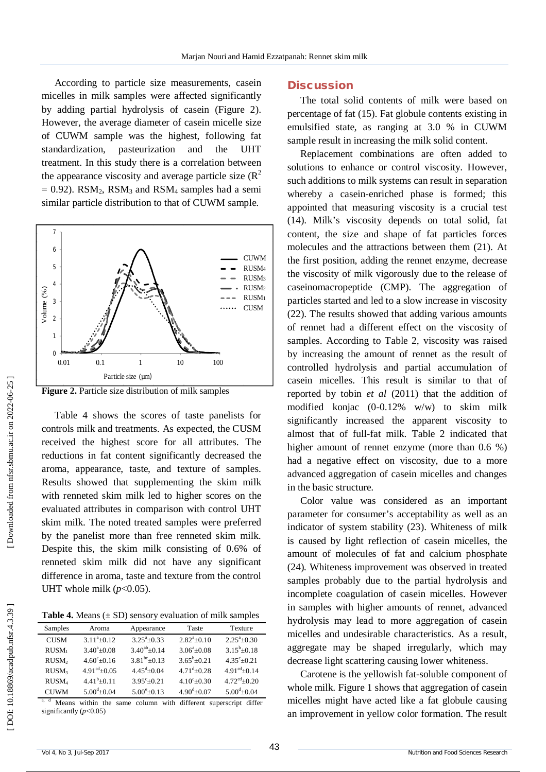According to particle size measurements, casein micelles in milk samples were affected significantly by adding partial hydrolysis of casein (Figure 2). However, the average diameter of casein micelle size of CUWM sample was the highest, following fat standardization, pasteurization and the UHT treatment. In this study there is a correlation between the appearance viscosity and average particle size  $(R^2)$  $= 0.92$ ). RSM<sub>2</sub>, RSM<sub>3</sub> and RSM<sub>4</sub> samples had a semi similar particle distribution to that of CUWM sample.





Table 4 shows the scores of taste panelists for controls milk and treatments. As expected, the CUSM received the highest score for all attributes. The reductions in fat content significantly decreased the aroma, appearance, taste, and texture of samples. Results showed that supplementing the skim milk with renneted skim milk led to higher scores on the evaluated attributes in comparison with control UHT skim milk. The noted treated samples were preferred by the panelist more than free renneted skim milk. Despite this, the skim milk consisting of 0.6% of renneted skim milk did not have any significant difference in aroma, taste and texture from the control UHT whole milk  $(p<0.05)$ .

**Table 4.** Means  $(\pm SD)$  sensory evaluation of milk samples

| Samples           | Aroma                     | Appearance               | Taste               | Texture                    |
|-------------------|---------------------------|--------------------------|---------------------|----------------------------|
| <b>CUSM</b>       | $3.11^a \pm 0.12$         | $3.25^{\circ}+0.33$      | $2.82^{a}+0.10$     | $2.25^{\circ}$ ±0.30       |
| RUSM <sub>1</sub> | $3.40^{\circ}+0.08$       | $3.40^{ab}$ + 0.14       | $3.06^{\circ}+0.08$ | $3.15^b \pm 0.18$          |
| RUSM <sub>2</sub> | $4.60^{\circ}+0.16$       | $3.81^{bc} \pm 0.13$     | $3.65^b + 0.21$     | $4.35^{\circ}+0.21$        |
| RUSM <sub>3</sub> | $4.91^{\text{cd}} + 0.05$ | $4.45^{\text{d}} + 0.04$ | $4.71^{d} + 0.28$   | $4.91cd+0.14$              |
| RUSM <sub>4</sub> | $4.41^{b}+0.11$           | $3.95^{\circ}+0.21$      | $4.10^{\circ}+0.30$ | $4.72^{\text{cd}} + 0.20$  |
| <b>CUWM</b>       | $5.00^{d} + 0.04$         | $5.00^{\circ}$ + 0.13    | $4.90^{d} + 0.07$   | $5.00^{\text{d}} \pm 0.04$ |

a, d Means within the same column with different superscript differ significantly ( $p$ <0.05)

#### **Discussion**

The total solid contents of milk were based on percentage of fat (15). Fat globule contents existing in emulsified state, as ranging at 3.0 % in CUWM sample result in increasing the milk solid content.

Replacement combinations are often added to solutions to enhance or control viscosity. However, such additions to milk systems can result in separation whereby a casein -enriched phase is formed; this appointed that measuring viscosity is a crucial test (14). Milk's viscosity depends on total solid, fat content, the size and shape of fat particles forces molecules and the attractions between them (21). At the first position, adding the rennet enzyme, decrease the viscosity of milk vigorously due to the release of caseinomacropeptide (CMP). The aggregation of particles started and led to a slow increase in viscosity (22). The results showed that adding various amounts of rennet had a different effect on the viscosity of samples. According to Table 2, viscosity was raised by increasing the amount of rennet as the result of controlled hydrolysis and partial accumulation of casein micelles. This result is similar to that of reported by tobin *et al* (2011) that the addition of modified konjac (0 -0.12% w/w) to skim milk significantly increased the apparent viscosity to almost that of full -fat milk. Table 2 indicated that higher amount of rennet enzyme (more than 0.6 %) had a negative effect on viscosity, due to a more advanced aggregation of casein micelles and changes in the basic structure.

Color value was considered as an important parameter for consumer's acceptability as well as an indicator of system stability (23). Whiteness of milk is caused by light reflection of casein micelles, the amount of molecules of fat and calcium phosphate (24)*.* Whiteness improvement was observed in treated samples probably due to the partial hydrolysis and incomplete coagulation of casein micelles. However in samples with higher amounts of rennet, advanced hydrolysis may lead to more aggregation of casein micelles and undesirable characteristics. As a result, aggregate may be shaped irregularly, which may decrease light scattering causing lower whiteness.

Carotene is the yellowish fat -soluble component of whole milk. Figure 1 shows that aggregation of casein micelles might have acted like a fat globule causing an improvement in yellow color formation. The result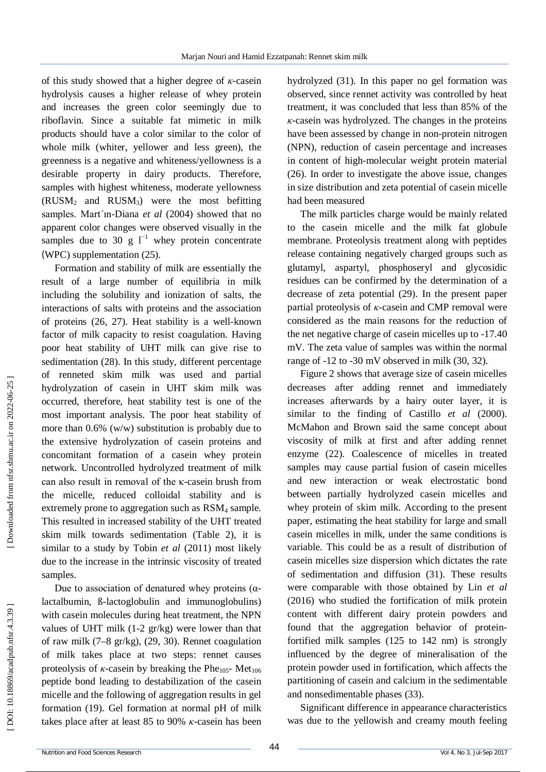of this study showed that a higher degree of *κ* -casein hydrolysis causes a higher release of whey protein and increases the green color seemingly due to riboflavin. Since a suitable fat mimetic in milk products should have a color similar to the color of whole milk (whiter, yellower and less green), the greenness is a negative and whiteness/yellowness is a desirable property in dairy products. Therefore, samples with highest whiteness, moderate yellowness (RUSM <sup>2</sup> and RUSM <sup>3</sup>) were the most befitting samples. Mart´ın -Diana *et al* (2004) showed that no apparent color changes were observed visually in the samples due to 30 g  $1^{-1}$  whey protein concentrate (WPC) supplementation (25).

Formation and stability of milk are essentially the result of a large number of equilibria in milk including the solubility and ionization of salts, the interactions of salts with proteins and the association of proteins (26, 27). Heat stability is a well -known factor of milk capacity to resist coagulation. Having poor heat stability of UHT milk can give rise to sedimentation (28). In this study, different percentage of renneted skim milk was used and partial hydrolyzation of casein in UHT skim milk was occurred, therefore, heat stability test is one of the most important analysis. The poor heat stability of more than 0.6% (w/w) substitution is probably due to the extensive hydrolyzation of casein proteins and concomitant formation of a casein whey protein network. Uncontrolled hydrolyzed treatment of milk can also result in removal of the κ -casein brush from the micelle, reduced colloidal stability and is extremely prone to aggregation such as RSM <sup>4</sup> sample. This resulted in increased stability of the UHT treated skim milk towards sedimentation (Table 2), it is similar to a study by Tobin *et al* (2011) most likely due to the increase in the intrinsic viscosity of treated samples.

Due to association of denatured whey proteins  $(α$ lactalbumin, ß -lactoglobulin and immunoglobulins) with casein molecules during heat treatment, the NPN values of UHT milk (1 -2 gr/kg) were lower than that of raw milk (7 –8 gr/kg), (29, 30). Rennet coagulation of milk takes place at two steps: rennet causes proteolysis of  $\kappa$ -casein by breaking the Phe<sub>105</sub>- Met<sub>106</sub> peptide bond leading to destabilization of the casein micelle and the following of aggregation results in gel formation (19). Gel formation at normal pH of milk takes place after at least 85 to 90% *κ* -casein has been

hydrolyzed (31). In this paper no gel formation was observed, since rennet activity was controlled by heat treatment, it was concluded that less than 85% of the *κ*-casein was hydrolyzed. The changes in the proteins have been assessed by change in non -protein nitrogen (NPN), reduction of casein percentage and increases in content of high -molecular weight protein material (26). In order to investigate the above issue, changes in size distribution and zeta potential of casein micelle had been measured

The milk particles charge would be mainly related to the casein micelle and the milk fat globule membrane. Proteolysis treatment along with peptides release containing negatively charged groups such as glutamyl, aspartyl, phosphoseryl and glycosidic residues can be confirmed by the determination of a decrease of zeta potential (29). In the present paper partial proteolysis of *κ* -casein and CMP removal were considered as the main reasons for the reduction of the net negative charge of casein micelles up to -17.40 mV. The zeta value of samples was within the normal range of -12 to -30 mV observed in milk (30, 32).

Figure 2 shows that average size of casein micelles decreases after adding rennet and immediately increases afterwards by a hairy outer layer, it is similar to the finding of Castillo *et al* (2000) . McMahon and Brown said the same concept about viscosity of milk at first and after adding rennet enzyme (22). Coalescence of micelles in treated samples may cause partial fusion of casein micelles and new interaction or weak electrostatic bond between partially hydrolyzed casein micelles and whey protein of skim milk. According to the present paper, estimating the heat stability for large and small casein micelles in milk, under the same conditions is variable. This could be as a result of distribution of casein micelles size dispersion which dictates the rate of sedimentation and diffusion (31). These results were comparable with those obtained by Lin *et al* (2016) who studied the fortification of milk protein content with different dairy protein powders and found that the aggregation behavior of protein fortified milk samples (125 to 142 nm) is strongly influenced by the degree of mineralisation of the protein powder used in fortification, which affects the partitioning of casein and calcium in the sedimentable and nonsedimentable phases (33).

Significant difference in appearance characteristics was due to the yellowish and creamy mouth feeling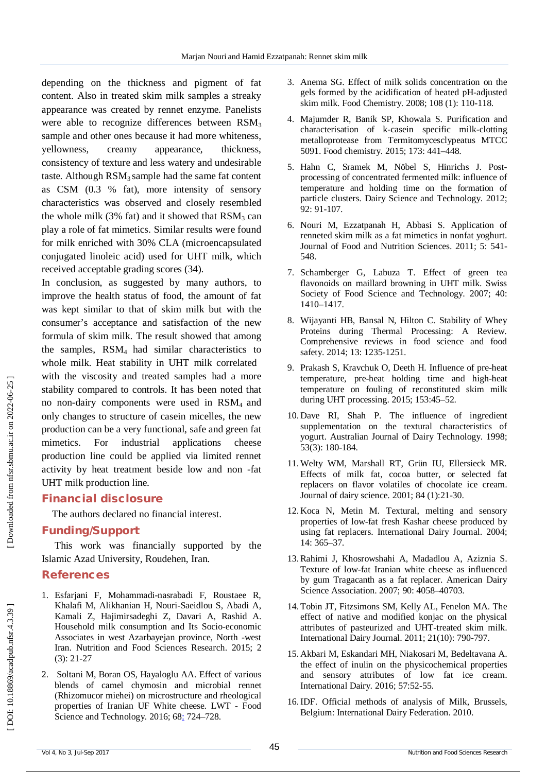depending on the thickness and pigment of fat content. Also in treated skim milk samples a streaky appearance was created by rennet enzyme. Panelists were able to recognize differences between  $\text{RSM}_3$ sample and other ones because it had more whiteness, yellowness, creamy appearance, thickness, consistency of texture and less watery and undesirable taste. Although  $RSM<sub>3</sub>$  sample had the same fat content as CSM (0.3 % fat), more intensity of sensory characteristics was observed and closely resembled the whole milk  $(3\%$  fat) and it showed that  $RSM_3$  can play a role of fat mimetics. Similar results were found for milk enriched with 30% CLA (microencapsulated conjugated linoleic acid) used for UHT milk, which received acceptable grading scores (34).

In conclusion, as suggested by many authors, to improve the health status of food, the amount of fat was kept similar to that of skim milk but with the consumer's acceptance and satisfaction of the new formula of skim milk . The result showed that among the samples,  $RSM<sub>4</sub>$  had similar characteristics to whole milk. Heat stability in UHT milk correlated with the viscosity and treated samples had a more stability compared to controls. It has been noted that no non -dairy components were used in RSM4 and only changes to structure of casein micelles, the new production can be a very functional, safe and green fat mimetics. For industrial applications cheese production line could be applied via limited rennet activity by heat treatment beside low and non -fat UHT milk production line.

# **Financial disclosure**

The authors declared no financial interest.

#### **Funding/Support**

This work was financially supported by the Islamic Azad University, Roudehen, Iran.

# **References**

- 1. Esfarjani F, Mohammadi -nasrabadi F, Roustaee R, Khalafi M, Alikhanian H, Nouri -Saeidlou S, Abadi A, Kamali Z, Hajimirsadeghi Z, Davari A, Rashid A. Household milk consumption and Its Socio-economic Associates in west Azarbayejan province, North -west Iran. Nutrition and Food Sciences Research. 2015; 2 (3): 21 -27
- 2 . Soltani M, Boran OS, Hayaloglu AA. Effect of various blends of camel chymosin and microbial rennet (Rhizomucor miehei) on microstructure and rheological properties of Iranian UF White cheese. LWT - Food Science and Technology. 2016; 68: 724-728.
- 3 . Anema SG. Effect of milk solids concentration on the gels formed by the acidification of heated pH -adjusted skim milk. Food Chemistry. 2008; 108 (1): 110 -118.
- 4 . Majumder R, Banik SP, Khowala S. Purification and characterisation of k -casein specific milk -clotting metalloprotease from Termitomycesclypeatus MTCC 5091. Food chemistry. 2015; 173: 441 –448.
- 5 . Hahn C, Sramek M, Nöbel S, Hinrichs J. Post processing of concentrated fermented milk: influence of temperature and holding time on the formation of particle clusters. Dairy Science and Technology. 2012; 92: 91 -107.
- 6 . Nouri M, Ezzatpanah H, Abbasi S. Application of renneted skim milk as a fat mimetics in nonfat yoghurt. Journal of Food and Nutrition Sciences. 2011; 5: 541 - 548.
- 7 . Schamberger G, Labuza T. Effect of green tea flavonoids on maillard browning in UHT milk. Swiss Society of Food Science and Technology. 2007; 40: 1410 –1417.
- 8 . Wijayanti HB, Bansal N, Hilton C. Stability of Whey Proteins during Thermal Processing: A Review. Comprehensive reviews in food science and food safety. 2014; 13: 1235 -1251.
- 9 . Prakash S, Kravchuk O, Deeth H. Influence of pre -heat temperature, pre -heat holding time and high -heat temperature on fouling of reconstituted skim milk during UHT processing. 2015; 153:45 –52.
- 10 . Dave RI, Shah P. The influence of ingredient supplementation on the textural characteristics of yogurt. Australian Journal of Dairy Technology. 1998; 53(3): 180 -184.
- 11 .Welty WM, Marshall RT, Grün IU, Ellersieck MR. Effects of milk fat, cocoa butter, or selected fat replacers on flavor volatiles of chocolate ice cream. Journal of dairy science. 2001; 84 (1):21 -30.
- 12 . Koca N, Metin M. Textural, melting and sensory properties of low -fat fresh Kashar cheese produced by using fat replacers. International Dairy Journal. 2004; 14: 365 –37 .
- 13 .Rahimi J, Khosrowshahi A, Madadlou A, Aziznia S. Texture of low -fat Iranian white cheese as influenced by gum Tragacanth as a fat replacer. American Dairy Science Association. 2007; 90: 4058 –40703.
- 14 . Tobin JT, Fitzsimons SM, Kelly AL, Fenelon MA. The effect of native and modified konjac on the physical attributes of pasteurized and UHT -treated skim milk. International Dairy Journal. 2011; 21(10): 790 -797.
- 15 . Akbari M, Eskandari MH, Niakosari M, Bedeltavana A. the effect of inulin on the physicochemical properties and sensory attributes of low fat ice cream. International Dairy. 2016; 57:52 -55.
- 16 .IDF. Official methods of analysis of Milk, Brussels, Belgium: International Dairy Federation. 2010.